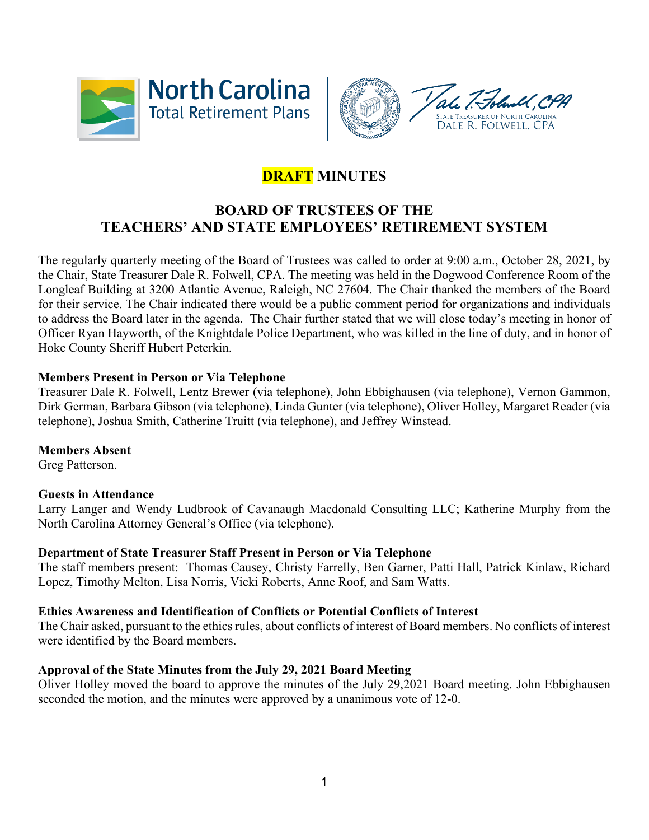



# **DRAFT MINUTES**

## **BOARD OF TRUSTEES OF THE TEACHERS' AND STATE EMPLOYEES' RETIREMENT SYSTEM**

The regularly quarterly meeting of the Board of Trustees was called to order at 9:00 a.m., October 28, 2021, by the Chair, State Treasurer Dale R. Folwell, CPA. The meeting was held in the Dogwood Conference Room of the Longleaf Building at 3200 Atlantic Avenue, Raleigh, NC 27604. The Chair thanked the members of the Board for their service. The Chair indicated there would be a public comment period for organizations and individuals to address the Board later in the agenda. The Chair further stated that we will close today's meeting in honor of Officer Ryan Hayworth, of the Knightdale Police Department, who was killed in the line of duty, and in honor of Hoke County Sheriff Hubert Peterkin.

## **Members Present in Person or Via Telephone**

Treasurer Dale R. Folwell, Lentz Brewer (via telephone), John Ebbighausen (via telephone), Vernon Gammon, Dirk German, Barbara Gibson (via telephone), Linda Gunter (via telephone), Oliver Holley, Margaret Reader (via telephone), Joshua Smith, Catherine Truitt (via telephone), and Jeffrey Winstead.

## **Members Absent**

Greg Patterson.

## **Guests in Attendance**

Larry Langer and Wendy Ludbrook of Cavanaugh Macdonald Consulting LLC; Katherine Murphy from the North Carolina Attorney General's Office (via telephone).

## **Department of State Treasurer Staff Present in Person or Via Telephone**

The staff members present: Thomas Causey, Christy Farrelly, Ben Garner, Patti Hall, Patrick Kinlaw, Richard Lopez, Timothy Melton, Lisa Norris, Vicki Roberts, Anne Roof, and Sam Watts.

## **Ethics Awareness and Identification of Conflicts or Potential Conflicts of Interest**

The Chair asked, pursuant to the ethics rules, about conflicts of interest of Board members. No conflicts of interest were identified by the Board members.

## **Approval of the State Minutes from the July 29, 2021 Board Meeting**

Oliver Holley moved the board to approve the minutes of the July 29,2021 Board meeting. John Ebbighausen seconded the motion, and the minutes were approved by a unanimous vote of 12-0.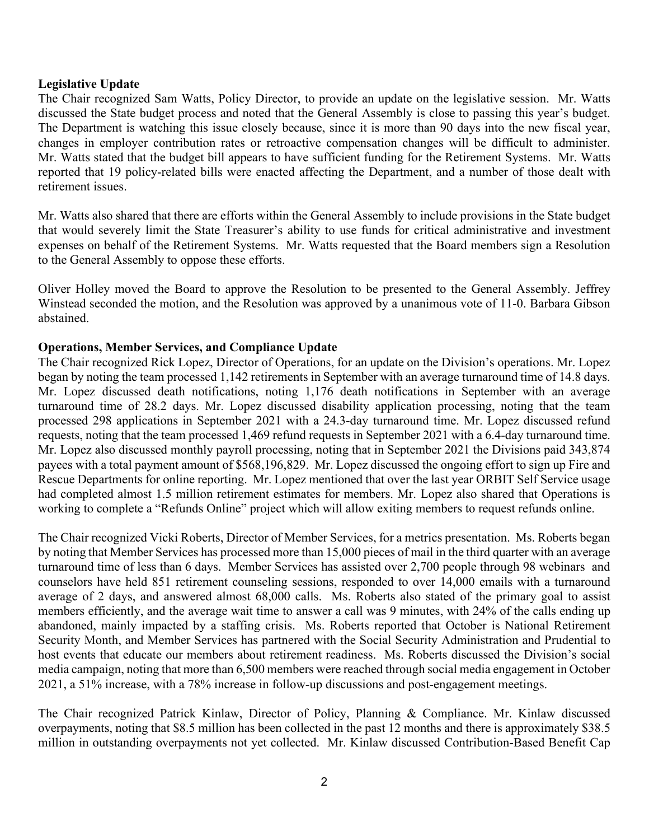#### **Legislative Update**

The Chair recognized Sam Watts, Policy Director, to provide an update on the legislative session. Mr. Watts discussed the State budget process and noted that the General Assembly is close to passing this year's budget. The Department is watching this issue closely because, since it is more than 90 days into the new fiscal year, changes in employer contribution rates or retroactive compensation changes will be difficult to administer. Mr. Watts stated that the budget bill appears to have sufficient funding for the Retirement Systems. Mr. Watts reported that 19 policy-related bills were enacted affecting the Department, and a number of those dealt with retirement issues.

Mr. Watts also shared that there are efforts within the General Assembly to include provisions in the State budget that would severely limit the State Treasurer's ability to use funds for critical administrative and investment expenses on behalf of the Retirement Systems. Mr. Watts requested that the Board members sign a Resolution to the General Assembly to oppose these efforts.

Oliver Holley moved the Board to approve the Resolution to be presented to the General Assembly. Jeffrey Winstead seconded the motion, and the Resolution was approved by a unanimous vote of 11-0. Barbara Gibson abstained.

#### **Operations, Member Services, and Compliance Update**

The Chair recognized Rick Lopez, Director of Operations, for an update on the Division's operations. Mr. Lopez began by noting the team processed 1,142 retirements in September with an average turnaround time of 14.8 days. Mr. Lopez discussed death notifications, noting 1,176 death notifications in September with an average turnaround time of 28.2 days. Mr. Lopez discussed disability application processing, noting that the team processed 298 applications in September 2021 with a 24.3-day turnaround time. Mr. Lopez discussed refund requests, noting that the team processed 1,469 refund requests in September 2021 with a 6.4-day turnaround time. Mr. Lopez also discussed monthly payroll processing, noting that in September 2021 the Divisions paid 343,874 payees with a total payment amount of \$568,196,829. Mr. Lopez discussed the ongoing effort to sign up Fire and Rescue Departments for online reporting. Mr. Lopez mentioned that over the last year ORBIT Self Service usage had completed almost 1.5 million retirement estimates for members. Mr. Lopez also shared that Operations is working to complete a "Refunds Online" project which will allow exiting members to request refunds online.

The Chair recognized Vicki Roberts, Director of Member Services, for a metrics presentation. Ms. Roberts began by noting that Member Services has processed more than 15,000 pieces of mail in the third quarter with an average turnaround time of less than 6 days. Member Services has assisted over 2,700 people through 98 webinars and counselors have held 851 retirement counseling sessions, responded to over 14,000 emails with a turnaround average of 2 days, and answered almost 68,000 calls. Ms. Roberts also stated of the primary goal to assist members efficiently, and the average wait time to answer a call was 9 minutes, with 24% of the calls ending up abandoned, mainly impacted by a staffing crisis. Ms. Roberts reported that October is National Retirement Security Month, and Member Services has partnered with the Social Security Administration and Prudential to host events that educate our members about retirement readiness. Ms. Roberts discussed the Division's social media campaign, noting that more than 6,500 members were reached through social media engagement in October 2021, a 51% increase, with a 78% increase in follow-up discussions and post-engagement meetings.

The Chair recognized Patrick Kinlaw, Director of Policy, Planning & Compliance. Mr. Kinlaw discussed overpayments, noting that \$8.5 million has been collected in the past 12 months and there is approximately \$38.5 million in outstanding overpayments not yet collected. Mr. Kinlaw discussed Contribution-Based Benefit Cap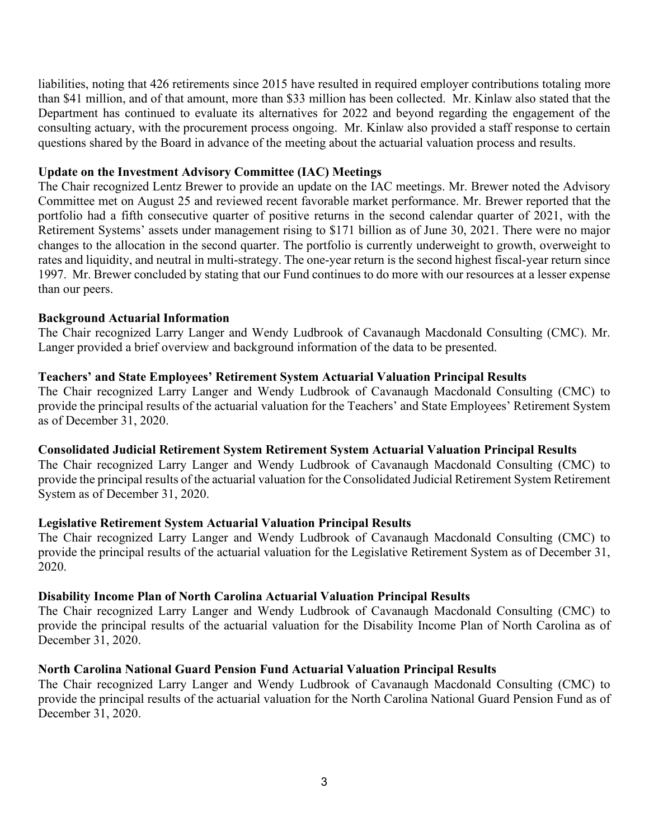liabilities, noting that 426 retirements since 2015 have resulted in required employer contributions totaling more than \$41 million, and of that amount, more than \$33 million has been collected. Mr. Kinlaw also stated that the Department has continued to evaluate its alternatives for 2022 and beyond regarding the engagement of the consulting actuary, with the procurement process ongoing. Mr. Kinlaw also provided a staff response to certain questions shared by the Board in advance of the meeting about the actuarial valuation process and results.

#### **Update on the Investment Advisory Committee (IAC) Meetings**

The Chair recognized Lentz Brewer to provide an update on the IAC meetings. Mr. Brewer noted the Advisory Committee met on August 25 and reviewed recent favorable market performance. Mr. Brewer reported that the portfolio had a fifth consecutive quarter of positive returns in the second calendar quarter of 2021, with the Retirement Systems' assets under management rising to \$171 billion as of June 30, 2021. There were no major changes to the allocation in the second quarter. The portfolio is currently underweight to growth, overweight to rates and liquidity, and neutral in multi-strategy. The one-year return is the second highest fiscal-year return since 1997. Mr. Brewer concluded by stating that our Fund continues to do more with our resources at a lesser expense than our peers.

#### **Background Actuarial Information**

The Chair recognized Larry Langer and Wendy Ludbrook of Cavanaugh Macdonald Consulting (CMC). Mr. Langer provided a brief overview and background information of the data to be presented.

#### **Teachers' and State Employees' Retirement System Actuarial Valuation Principal Results**

The Chair recognized Larry Langer and Wendy Ludbrook of Cavanaugh Macdonald Consulting (CMC) to provide the principal results of the actuarial valuation for the Teachers' and State Employees' Retirement System as of December 31, 2020.

#### **Consolidated Judicial Retirement System Retirement System Actuarial Valuation Principal Results**

The Chair recognized Larry Langer and Wendy Ludbrook of Cavanaugh Macdonald Consulting (CMC) to provide the principal results of the actuarial valuation for the Consolidated Judicial Retirement System Retirement System as of December 31, 2020.

#### **Legislative Retirement System Actuarial Valuation Principal Results**

The Chair recognized Larry Langer and Wendy Ludbrook of Cavanaugh Macdonald Consulting (CMC) to provide the principal results of the actuarial valuation for the Legislative Retirement System as of December 31, 2020.

#### **Disability Income Plan of North Carolina Actuarial Valuation Principal Results**

The Chair recognized Larry Langer and Wendy Ludbrook of Cavanaugh Macdonald Consulting (CMC) to provide the principal results of the actuarial valuation for the Disability Income Plan of North Carolina as of December 31, 2020.

#### **North Carolina National Guard Pension Fund Actuarial Valuation Principal Results**

The Chair recognized Larry Langer and Wendy Ludbrook of Cavanaugh Macdonald Consulting (CMC) to provide the principal results of the actuarial valuation for the North Carolina National Guard Pension Fund as of December 31, 2020.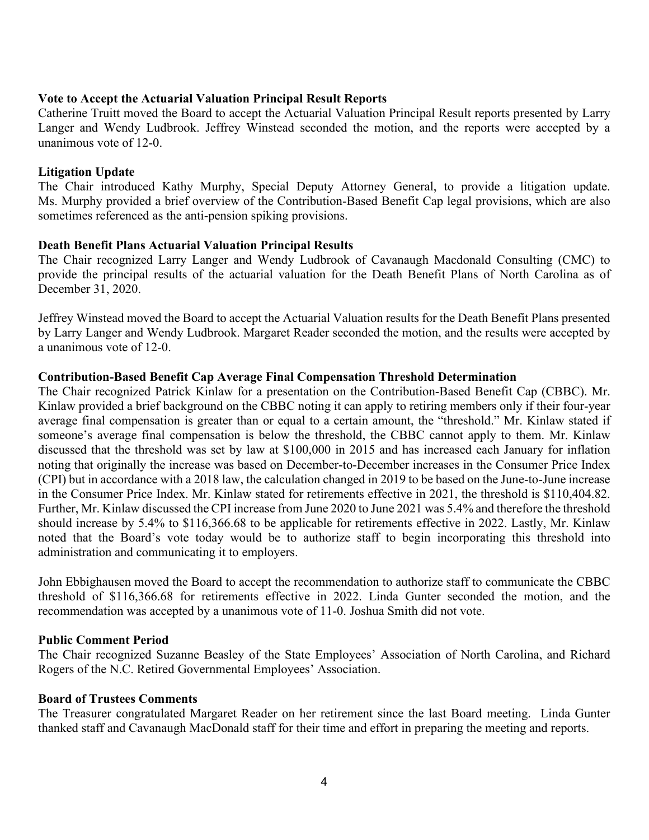#### **Vote to Accept the Actuarial Valuation Principal Result Reports**

Catherine Truitt moved the Board to accept the Actuarial Valuation Principal Result reports presented by Larry Langer and Wendy Ludbrook. Jeffrey Winstead seconded the motion, and the reports were accepted by a unanimous vote of 12-0.

### **Litigation Update**

The Chair introduced Kathy Murphy, Special Deputy Attorney General, to provide a litigation update. Ms. Murphy provided a brief overview of the Contribution-Based Benefit Cap legal provisions, which are also sometimes referenced as the anti-pension spiking provisions.

### **Death Benefit Plans Actuarial Valuation Principal Results**

The Chair recognized Larry Langer and Wendy Ludbrook of Cavanaugh Macdonald Consulting (CMC) to provide the principal results of the actuarial valuation for the Death Benefit Plans of North Carolina as of December 31, 2020.

Jeffrey Winstead moved the Board to accept the Actuarial Valuation results for the Death Benefit Plans presented by Larry Langer and Wendy Ludbrook. Margaret Reader seconded the motion, and the results were accepted by a unanimous vote of 12-0.

### **Contribution-Based Benefit Cap Average Final Compensation Threshold Determination**

The Chair recognized Patrick Kinlaw for a presentation on the Contribution-Based Benefit Cap (CBBC). Mr. Kinlaw provided a brief background on the CBBC noting it can apply to retiring members only if their four-year average final compensation is greater than or equal to a certain amount, the "threshold." Mr. Kinlaw stated if someone's average final compensation is below the threshold, the CBBC cannot apply to them. Mr. Kinlaw discussed that the threshold was set by law at \$100,000 in 2015 and has increased each January for inflation noting that originally the increase was based on December-to-December increases in the Consumer Price Index (CPI) but in accordance with a 2018 law, the calculation changed in 2019 to be based on the June-to-June increase in the Consumer Price Index. Mr. Kinlaw stated for retirements effective in 2021, the threshold is \$110,404.82. Further, Mr. Kinlaw discussed the CPI increase from June 2020 to June 2021 was 5.4% and therefore the threshold should increase by 5.4% to \$116,366.68 to be applicable for retirements effective in 2022. Lastly, Mr. Kinlaw noted that the Board's vote today would be to authorize staff to begin incorporating this threshold into administration and communicating it to employers.

John Ebbighausen moved the Board to accept the recommendation to authorize staff to communicate the CBBC threshold of \$116,366.68 for retirements effective in 2022. Linda Gunter seconded the motion, and the recommendation was accepted by a unanimous vote of 11-0. Joshua Smith did not vote.

#### **Public Comment Period**

The Chair recognized Suzanne Beasley of the State Employees' Association of North Carolina, and Richard Rogers of the N.C. Retired Governmental Employees' Association.

#### **Board of Trustees Comments**

The Treasurer congratulated Margaret Reader on her retirement since the last Board meeting. Linda Gunter thanked staff and Cavanaugh MacDonald staff for their time and effort in preparing the meeting and reports.